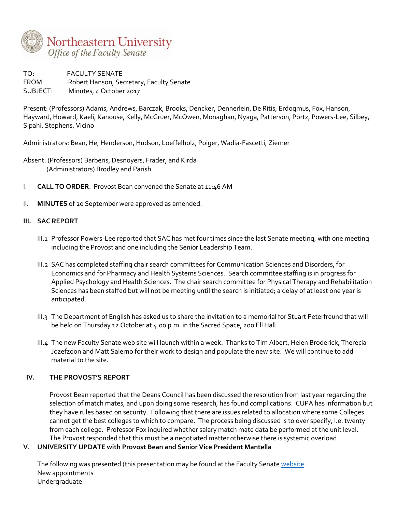

TO: FACULTY SENATE FROM: Robert Hanson, Secretary, Faculty Senate SUBJECT: Minutes, 4 October 2017

Present: (Professors) Adams, Andrews, Barczak, Brooks, Dencker, Dennerlein, De Ritis, Erdogmus, Fox, Hanson, Hayward, Howard, Kaeli, Kanouse, Kelly, McGruer, McOwen, Monaghan, Nyaga, Patterson, Portz, Powers-Lee, Silbey, Sipahi, Stephens, Vicino

Administrators: Bean, He, Henderson, Hudson, Loeffelholz, Poiger, Wadia-Fascetti, Ziemer

Absent: (Professors) Barberis, Desnoyers, Frader, and Kirda (Administrators) Brodley and Parish

- I. **CALL TO ORDER**. Provost Bean convened the Senate at 11:46 AM
- II. **MINUTES** of 20 September were approved as amended.

# **III. SAC REPORT**

- III.1 Professor Powers-Lee reported that SAC has met four times since the last Senate meeting, with one meeting including the Provost and one including the Senior Leadership Team.
- III.2 SAC has completed staffing chair search committees for Communication Sciences and Disorders, for Economics and for Pharmacy and Health Systems Sciences. Search committee staffing is in progress for Applied Psychology and Health Sciences. The chair search committee for Physical Therapy and Rehabilitation Sciences has been staffed but will not be meeting until the search is initiated; a delay of at least one year is anticipated.
- III.3 The Department of English has asked us to share the invitation to a memorial for Stuart Peterfreund that will be held on Thursday 12 October at 4:00 p.m. in the Sacred Space, 200 Ell Hall.
- III.4 The new Faculty Senate web site will launch within a week. Thanks to Tim Albert, Helen Broderick, Therecia Jozefzoon and Matt Salerno for their work to design and populate the new site. We will continue to add material to the site.

# **IV. THE PROVOST'S REPORT**

Provost Bean reported that the Deans Council has been discussed the resolution from last year regarding the selection of match mates, and upon doing some research, has found complications. CUPA has information but they have rules based on security. Following that there are issues related to allocation where some Colleges cannot get the best colleges to which to compare. The process being discussed is to over specify, i.e. twenty from each college. Professor Fox inquired whether salary match mate data be performed at the unit level. The Provost responded that this must be a negotiated matter otherwise there is systemic overload.

# **V. UNIVERSITY UPDATE with Provost Bean and Senior Vice President Mantella**

The following was presented (this presentation may be found at the Faculty Senate [website.](https://faculty.northeastern.edu/senate/meetings/2017-2018/) New appointments Undergraduate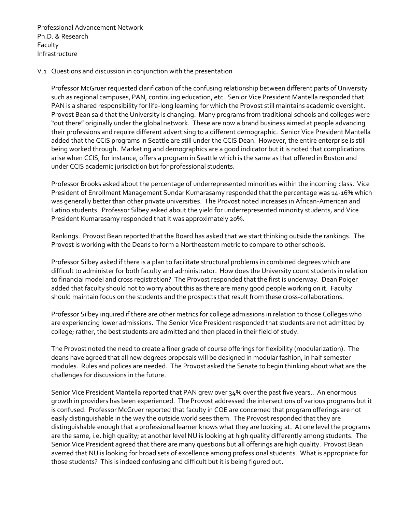Professional Advancement Network Ph.D. & Research Faculty Infrastructure

#### V.1 Questions and discussion in conjunction with the presentation

Professor McGruer requested clarification of the confusing relationship between different parts of University such as regional campuses, PAN, continuing education, etc. Senior Vice President Mantella responded that PAN is a shared responsibility for life-long learning for which the Provost still maintains academic oversight. Provost Bean said that the University is changing. Many programs from traditional schools and colleges were "out there" originally under the global network. These are now a brand business aimed at people advancing their professions and require different advertising to a different demographic. Senior Vice President Mantella added that the CCIS programs in Seattle are still under the CCIS Dean. However, the entire enterprise is still being worked through. Marketing and demographics are a good indicator but it is noted that complications arise when CCIS, for instance, offers a program in Seattle which is the same as that offered in Boston and under CCIS academic jurisdiction but for professional students.

Professor Brooks asked about the percentage of underrepresented minorities within the incoming class. Vice President of Enrollment Management Sundar Kumarasamy responded that the percentage was 14-16% which was generally better than other private universities. The Provost noted increases in African-American and Latino students. Professor Silbey asked about the yield for underrepresented minority students, and Vice President Kumarasamy responded that it was approximately 20%.

Rankings. Provost Bean reported that the Board has asked that we start thinking outside the rankings. The Provost is working with the Deans to form a Northeastern metric to compare to other schools.

Professor Silbey asked if there is a plan to facilitate structural problems in combined degrees which are difficult to administer for both faculty and administrator. How does the University count students in relation to financial model and cross registration? The Provost responded that the first is underway. Dean Poiger added that faculty should not to worry about this as there are many good people working on it. Faculty should maintain focus on the students and the prospects that result from these cross-collaborations.

Professor Silbey inquired if there are other metrics for college admissions in relation to those Colleges who are experiencing lower admissions. The Senior Vice President responded that students are not admitted by college; rather, the best students are admitted and then placed in their field of study.

The Provost noted the need to create a finer grade of course offerings for flexibility (modularization). The deans have agreed that all new degrees proposals will be designed in modular fashion, in half semester modules. Rules and polices are needed. The Provost asked the Senate to begin thinking about what are the challenges for discussions in the future.

Senior Vice President Mantella reported that PAN grew over 34% over the past five years.. An enormous growth in providers has been experienced. The Provost addressed the intersections of various programs but it is confused. Professor McGruer reported that faculty in COE are concerned that program offerings are not easily distinguishable in the way the outside world sees them. The Provost responded that they are distinguishable enough that a professional learner knows what they are looking at. At one level the programs are the same, i.e. high quality; at another level NU is looking at high quality differently among students. The Senior Vice President agreed that there are many questions but all offerings are high quality. Provost Bean averred that NU is looking for broad sets of excellence among professional students. What is appropriate for those students? This is indeed confusing and difficult but it is being figured out.